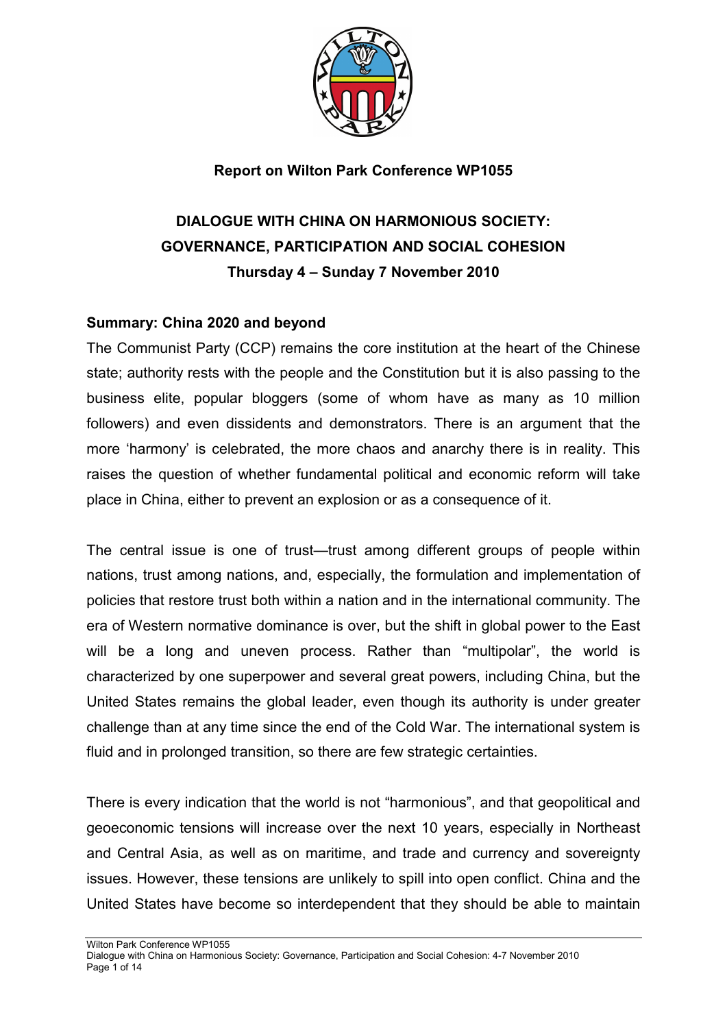

**Report on Wilton Park Conference WP1055**

# **DIALOGUE WITH CHINA ON HARMONIOUS SOCIETY: GOVERNANCE, PARTICIPATION AND SOCIAL COHESION Thursday 4 – Sunday 7 November 2010**

#### **Summary: China 2020 and beyond**

The Communist Party (CCP) remains the core institution at the heart of the Chinese state; authority rests with the people and the Constitution but it is also passing to the business elite, popular bloggers (some of whom have as many as 10 million followers) and even dissidents and demonstrators. There is an argument that the more 'harmony' is celebrated, the more chaos and anarchy there is in reality. This raises the question of whether fundamental political and economic reform will take place in China, either to prevent an explosion or as a consequence of it.

The central issue is one of trust—trust among different groups of people within nations, trust among nations, and, especially, the formulation and implementation of policies that restore trust both within a nation and in the international community. The era of Western normative dominance is over, but the shift in global power to the East will be a long and uneven process. Rather than "multipolar", the world is characterized by one superpower and several great powers, including China, but the United States remains the global leader, even though its authority is under greater challenge than at any time since the end of the Cold War. The international system is fluid and in prolonged transition, so there are few strategic certainties.

There is every indication that the world is not "harmonious", and that geopolitical and geoeconomic tensions will increase over the next 10 years, especially in Northeast and Central Asia, as well as on maritime, and trade and currency and sovereignty issues. However, these tensions are unlikely to spill into open conflict. China and the United States have become so interdependent that they should be able to maintain

- Wilton Park Conference WP1055
- Dialogue with China on Harmonious Society: Governance, Participation and Social Cohesion: 4-7 November 2010 Page 1 of 14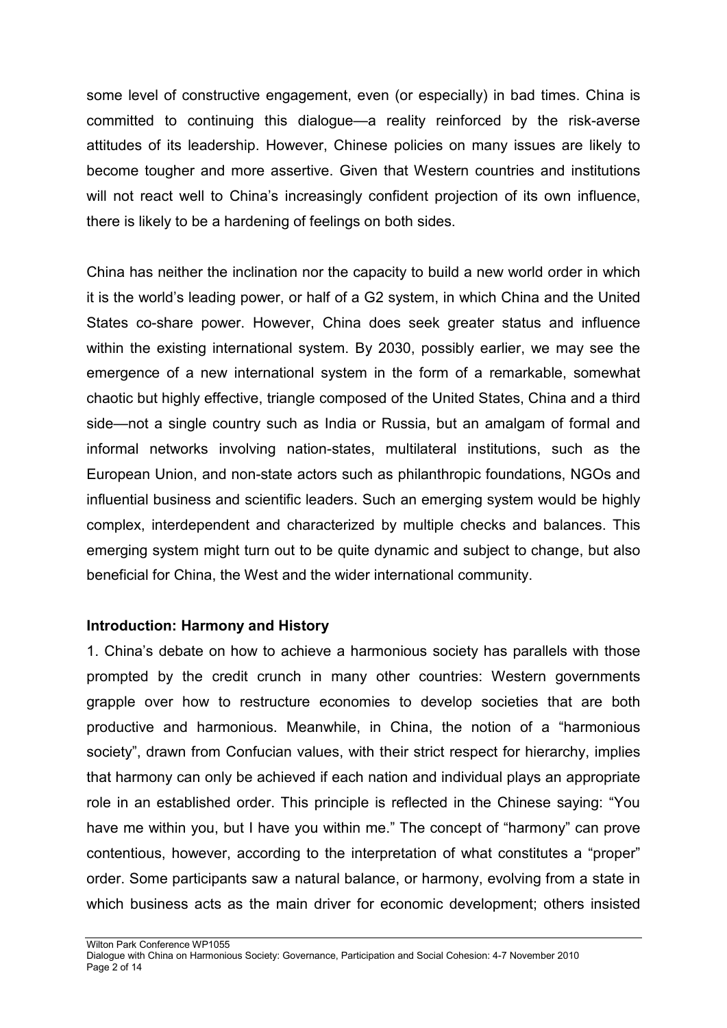some level of constructive engagement, even (or especially) in bad times. China is committed to continuing this dialogue—a reality reinforced by the risk-averse attitudes of its leadership. However, Chinese policies on many issues are likely to become tougher and more assertive. Given that Western countries and institutions will not react well to China's increasingly confident projection of its own influence, there is likely to be a hardening of feelings on both sides.

China has neither the inclination nor the capacity to build a new world order in which it is the world's leading power, or half of a G2 system, in which China and the United States co-share power. However, China does seek greater status and influence within the existing international system. By 2030, possibly earlier, we may see the emergence of a new international system in the form of a remarkable, somewhat chaotic but highly effective, triangle composed of the United States, China and a third side—not a single country such as India or Russia, but an amalgam of formal and informal networks involving nation-states, multilateral institutions, such as the European Union, and non-state actors such as philanthropic foundations, NGOs and influential business and scientific leaders. Such an emerging system would be highly complex, interdependent and characterized by multiple checks and balances. This emerging system might turn out to be quite dynamic and subject to change, but also beneficial for China, the West and the wider international community.

#### **Introduction: Harmony and History**

1. China's debate on how to achieve a harmonious society has parallels with those prompted by the credit crunch in many other countries: Western governments grapple over how to restructure economies to develop societies that are both productive and harmonious. Meanwhile, in China, the notion of a "harmonious society", drawn from Confucian values, with their strict respect for hierarchy, implies that harmony can only be achieved if each nation and individual plays an appropriate role in an established order. This principle is reflected in the Chinese saying: "You have me within you, but I have you within me." The concept of "harmony" can prove contentious, however, according to the interpretation of what constitutes a "proper" order. Some participants saw a natural balance, or harmony, evolving from a state in which business acts as the main driver for economic development; others insisted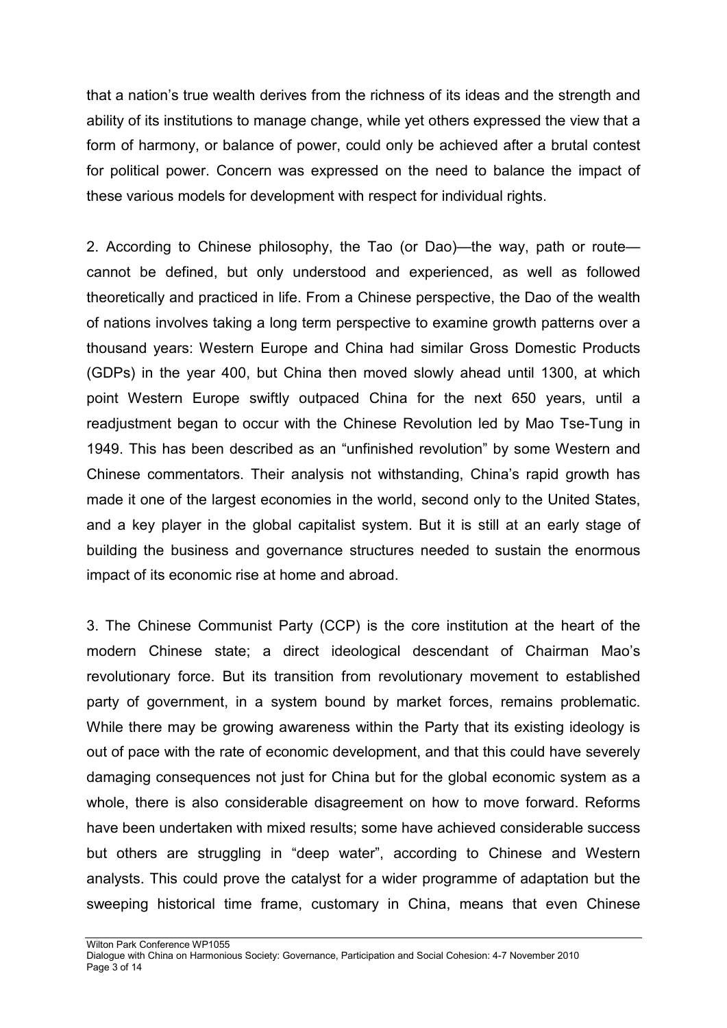that a nation's true wealth derives from the richness of its ideas and the strength and ability of its institutions to manage change, while yet others expressed the view that a form of harmony, or balance of power, could only be achieved after a brutal contest for political power. Concern was expressed on the need to balance the impact of these various models for development with respect for individual rights.

2. According to Chinese philosophy, the Tao (or Dao)—the way, path or route cannot be defined, but only understood and experienced, as well as followed theoretically and practiced in life. From a Chinese perspective, the Dao of the wealth of nations involves taking a long term perspective to examine growth patterns over a thousand years: Western Europe and China had similar Gross Domestic Products (GDPs) in the year 400, but China then moved slowly ahead until 1300, at which point Western Europe swiftly outpaced China for the next 650 years, until a readjustment began to occur with the Chinese Revolution led by Mao Tse-Tung in 1949. This has been described as an "unfinished revolution" by some Western and Chinese commentators. Their analysis not withstanding, China's rapid growth has made it one of the largest economies in the world, second only to the United States, and a key player in the global capitalist system. But it is still at an early stage of building the business and governance structures needed to sustain the enormous impact of its economic rise at home and abroad.

3. The Chinese Communist Party (CCP) is the core institution at the heart of the modern Chinese state; a direct ideological descendant of Chairman Mao's revolutionary force. But its transition from revolutionary movement to established party of government, in a system bound by market forces, remains problematic. While there may be growing awareness within the Party that its existing ideology is out of pace with the rate of economic development, and that this could have severely damaging consequences not just for China but for the global economic system as a whole, there is also considerable disagreement on how to move forward. Reforms have been undertaken with mixed results; some have achieved considerable success but others are struggling in "deep water", according to Chinese and Western analysts. This could prove the catalyst for a wider programme of adaptation but the sweeping historical time frame, customary in China, means that even Chinese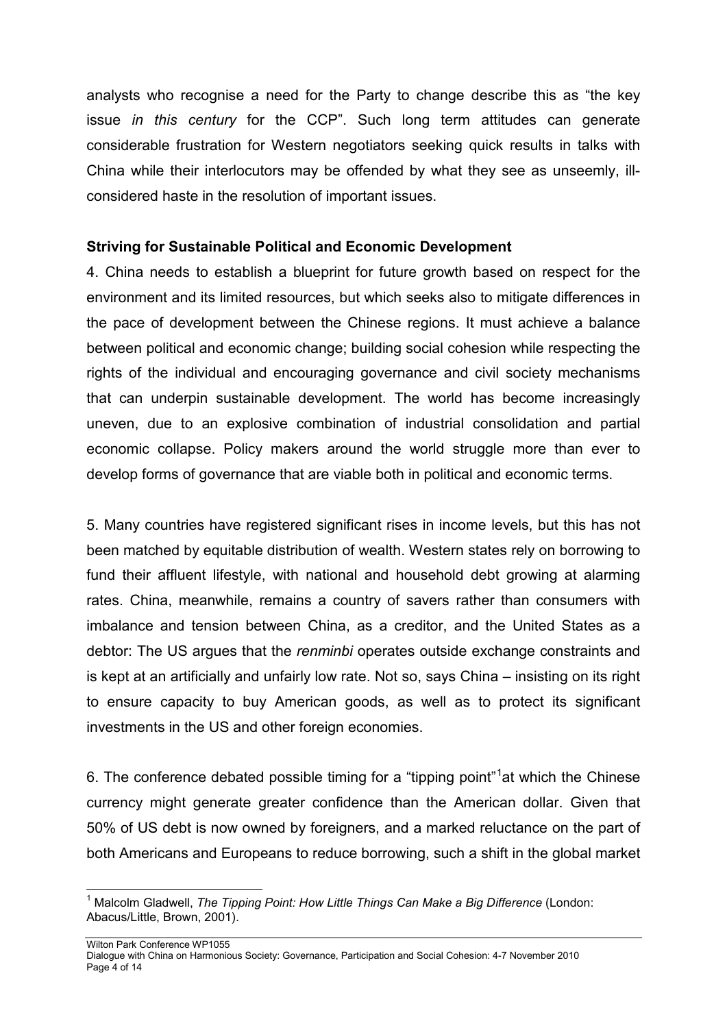analysts who recognise a need for the Party to change describe this as "the key issue *in this century* for the CCP". Such long term attitudes can generate considerable frustration for Western negotiators seeking quick results in talks with China while their interlocutors may be offended by what they see as unseemly, illconsidered haste in the resolution of important issues.

### **Striving for Sustainable Political and Economic Development**

4. China needs to establish a blueprint for future growth based on respect for the environment and its limited resources, but which seeks also to mitigate differences in the pace of development between the Chinese regions. It must achieve a balance between political and economic change; building social cohesion while respecting the rights of the individual and encouraging governance and civil society mechanisms that can underpin sustainable development. The world has become increasingly uneven, due to an explosive combination of industrial consolidation and partial economic collapse. Policy makers around the world struggle more than ever to develop forms of governance that are viable both in political and economic terms.

5. Many countries have registered significant rises in income levels, but this has not been matched by equitable distribution of wealth. Western states rely on borrowing to fund their affluent lifestyle, with national and household debt growing at alarming rates. China, meanwhile, remains a country of savers rather than consumers with imbalance and tension between China, as a creditor, and the United States as a debtor: The US argues that the *renminbi* operates outside exchange constraints and is kept at an artificially and unfairly low rate. Not so, says China – insisting on its right to ensure capacity to buy American goods, as well as to protect its significant investments in the US and other foreign economies.

6. The conference debated possible timing for a "tipping point"<sup>[1](#page-3-0)</sup>at which the Chinese currency might generate greater confidence than the American dollar. Given that 50% of US debt is now owned by foreigners, and a marked reluctance on the part of both Americans and Europeans to reduce borrowing, such a shift in the global market

<span id="page-3-0"></span> <sup>1</sup> Malcolm Gladwell, *The Tipping Point: How Little Things Can Make a Big Difference* (London: Abacus/Little, Brown, 2001).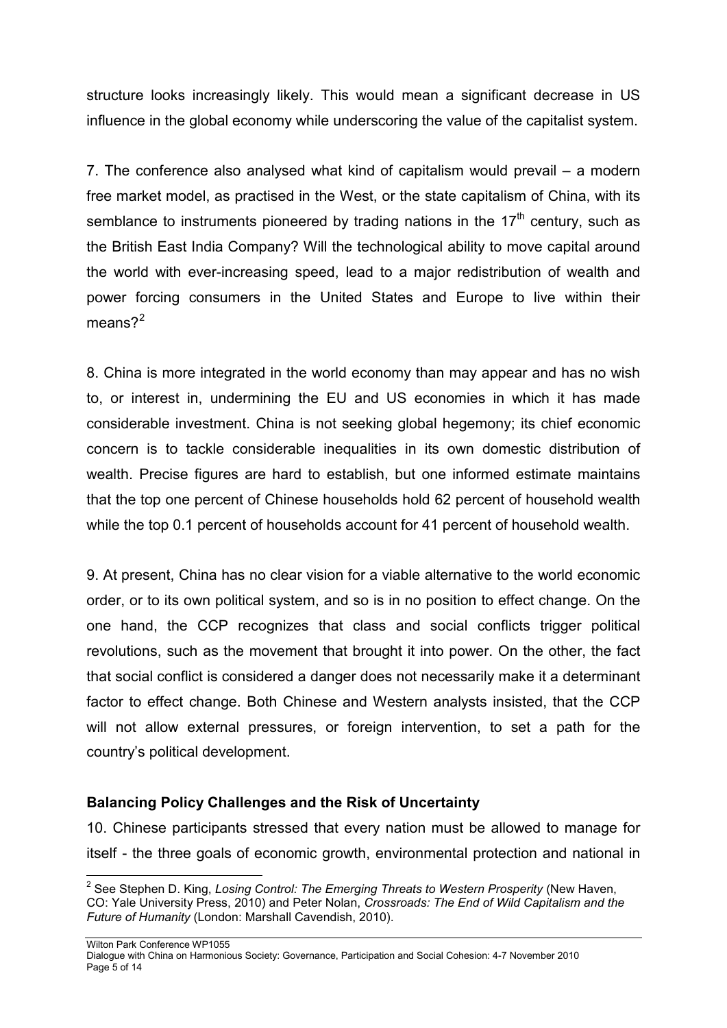structure looks increasingly likely. This would mean a significant decrease in US influence in the global economy while underscoring the value of the capitalist system.

7. The conference also analysed what kind of capitalism would prevail – a modern free market model, as practised in the West, or the state capitalism of China, with its semblance to instruments pioneered by trading nations in the  $17<sup>th</sup>$  century, such as the British East India Company? Will the technological ability to move capital around the world with ever-increasing speed, lead to a major redistribution of wealth and power forcing consumers in the United States and Europe to live within their means $2^2$  $2^2$ 

8. China is more integrated in the world economy than may appear and has no wish to, or interest in, undermining the EU and US economies in which it has made considerable investment. China is not seeking global hegemony; its chief economic concern is to tackle considerable inequalities in its own domestic distribution of wealth. Precise figures are hard to establish, but one informed estimate maintains that the top one percent of Chinese households hold 62 percent of household wealth while the top 0.1 percent of households account for 41 percent of household wealth.

9. At present, China has no clear vision for a viable alternative to the world economic order, or to its own political system, and so is in no position to effect change. On the one hand, the CCP recognizes that class and social conflicts trigger political revolutions, such as the movement that brought it into power. On the other, the fact that social conflict is considered a danger does not necessarily make it a determinant factor to effect change. Both Chinese and Western analysts insisted, that the CCP will not allow external pressures, or foreign intervention, to set a path for the country's political development.

#### **Balancing Policy Challenges and the Risk of Uncertainty**

10. Chinese participants stressed that every nation must be allowed to manage for itself - the three goals of economic growth, environmental protection and national in

Wilton Park Conference WP1055

<span id="page-4-0"></span> <sup>2</sup> See Stephen D. King, *Losing Control: The Emerging Threats to Western Prosperity* (New Haven, CO: Yale University Press, 2010) and Peter Nolan, *Crossroads: The End of Wild Capitalism and the Future of Humanity* (London: Marshall Cavendish, 2010).

Dialogue with China on Harmonious Society: Governance, Participation and Social Cohesion: 4-7 November 2010 Page 5 of 14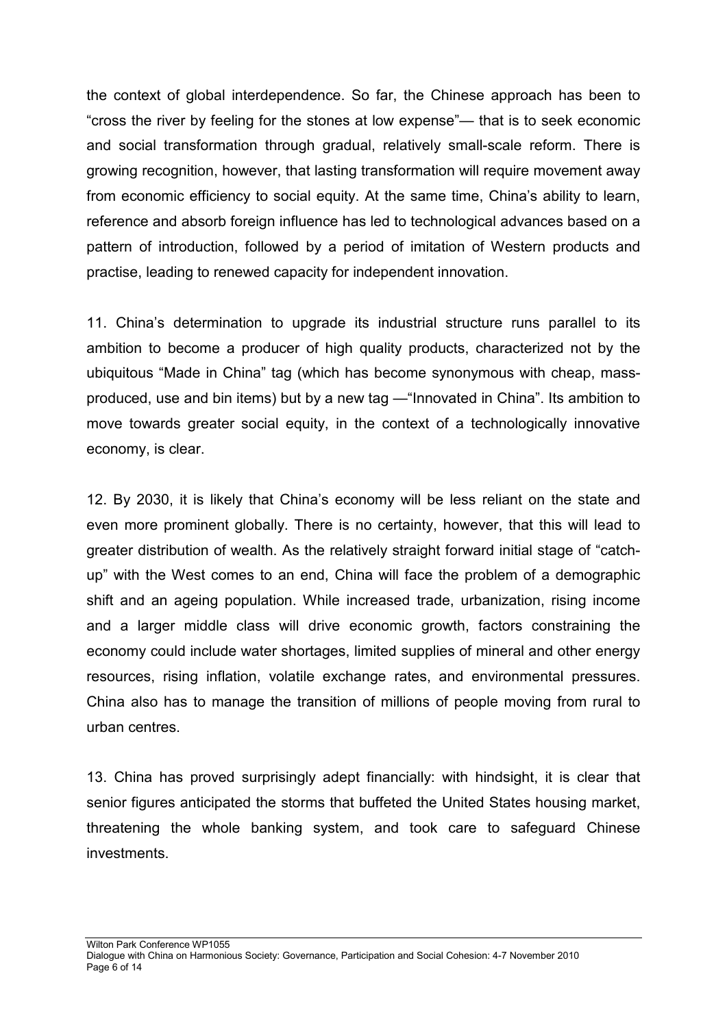the context of global interdependence. So far, the Chinese approach has been to "cross the river by feeling for the stones at low expense"— that is to seek economic and social transformation through gradual, relatively small-scale reform. There is growing recognition, however, that lasting transformation will require movement away from economic efficiency to social equity. At the same time, China's ability to learn, reference and absorb foreign influence has led to technological advances based on a pattern of introduction, followed by a period of imitation of Western products and practise, leading to renewed capacity for independent innovation.

11. China's determination to upgrade its industrial structure runs parallel to its ambition to become a producer of high quality products, characterized not by the ubiquitous "Made in China" tag (which has become synonymous with cheap, massproduced, use and bin items) but by a new tag —"Innovated in China". Its ambition to move towards greater social equity, in the context of a technologically innovative economy, is clear.

12. By 2030, it is likely that China's economy will be less reliant on the state and even more prominent globally. There is no certainty, however, that this will lead to greater distribution of wealth. As the relatively straight forward initial stage of "catchup" with the West comes to an end, China will face the problem of a demographic shift and an ageing population. While increased trade, urbanization, rising income and a larger middle class will drive economic growth, factors constraining the economy could include water shortages, limited supplies of mineral and other energy resources, rising inflation, volatile exchange rates, and environmental pressures. China also has to manage the transition of millions of people moving from rural to urban centres.

13. China has proved surprisingly adept financially: with hindsight, it is clear that senior figures anticipated the storms that buffeted the United States housing market, threatening the whole banking system, and took care to safeguard Chinese investments.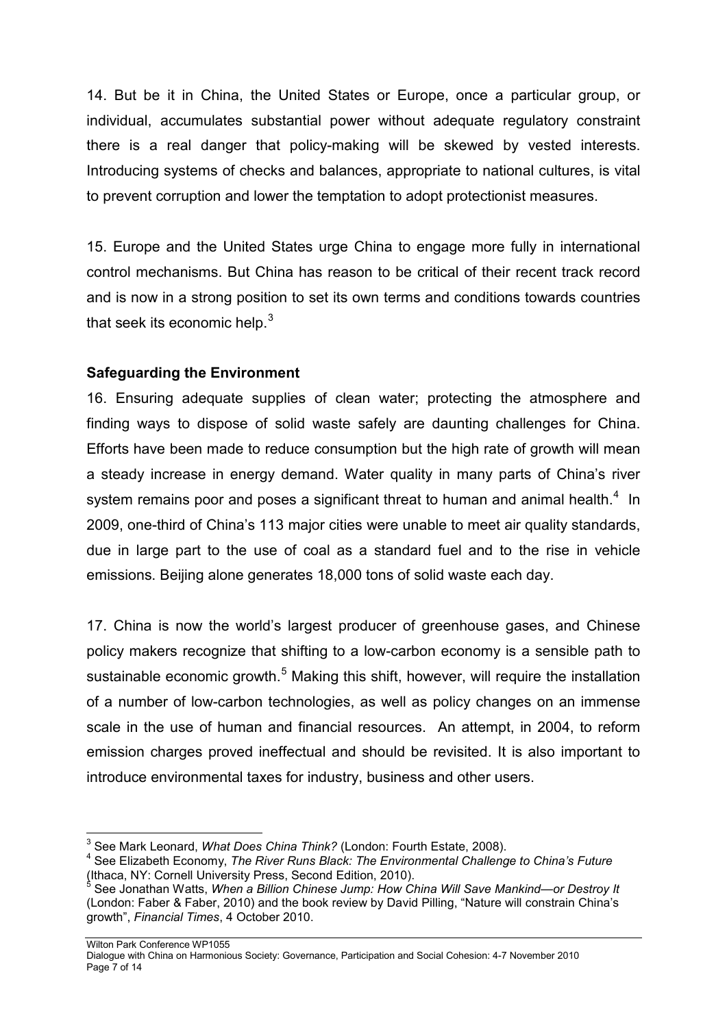14. But be it in China, the United States or Europe, once a particular group, or individual, accumulates substantial power without adequate regulatory constraint there is a real danger that policy-making will be skewed by vested interests. Introducing systems of checks and balances, appropriate to national cultures, is vital to prevent corruption and lower the temptation to adopt protectionist measures.

15. Europe and the United States urge China to engage more fully in international control mechanisms. But China has reason to be critical of their recent track record and is now in a strong position to set its own terms and conditions towards countries that seek its economic help. $3$ 

# **Safeguarding the Environment**

16. Ensuring adequate supplies of clean water; protecting the atmosphere and finding ways to dispose of solid waste safely are daunting challenges for China. Efforts have been made to reduce consumption but the high rate of growth will mean a steady increase in energy demand. Water quality in many parts of China's river system remains poor and poses a significant threat to human and animal health. $4$  In 2009, one-third of China's 113 major cities were unable to meet air quality standards, due in large part to the use of coal as a standard fuel and to the rise in vehicle emissions. Beijing alone generates 18,000 tons of solid waste each day.

17. China is now the world's largest producer of greenhouse gases, and Chinese policy makers recognize that shifting to a low-carbon economy is a sensible path to sustainable economic growth.<sup>[5](#page-6-2)</sup> Making this shift, however, will require the installation of a number of low-carbon technologies, as well as policy changes on an immense scale in the use of human and financial resources. An attempt, in 2004, to reform emission charges proved ineffectual and should be revisited. It is also important to introduce environmental taxes for industry, business and other users.

Wilton Park Conference WP1055

<span id="page-6-1"></span><span id="page-6-0"></span><sup>&</sup>lt;sup>3</sup> See Mark Leonard, *What Does China Think?* (London: Fourth Estate, 2008).<br><sup>4</sup> See Elizabeth Economy, *The River Runs Black: The Environmental Challenge to China's Future*<br>(Ithaca, NY: Cornell University Press, Second E

<span id="page-6-2"></span>See Jonathan Watts, When a Billion Chinese Jump: How China Will Save Mankind—or Destroy It (London: Faber & Faber, 2010) and the book review by David Pilling, "Nature will constrain China's growth", *Financial Times*, 4 October 2010.

Dialogue with China on Harmonious Society: Governance, Participation and Social Cohesion: 4-7 November 2010 Page 7 of 14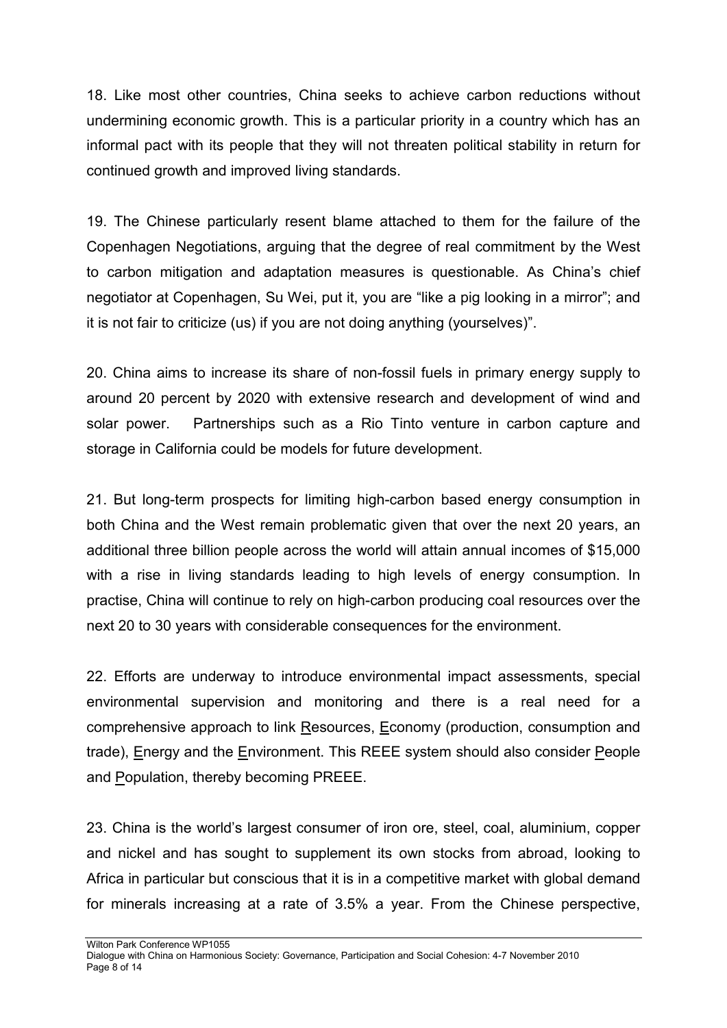18. Like most other countries, China seeks to achieve carbon reductions without undermining economic growth. This is a particular priority in a country which has an informal pact with its people that they will not threaten political stability in return for continued growth and improved living standards.

19. The Chinese particularly resent blame attached to them for the failure of the Copenhagen Negotiations, arguing that the degree of real commitment by the West to carbon mitigation and adaptation measures is questionable. As China's chief negotiator at Copenhagen, Su Wei, put it, you are "like a pig looking in a mirror"; and it is not fair to criticize (us) if you are not doing anything (yourselves)".

20. China aims to increase its share of non-fossil fuels in primary energy supply to around 20 percent by 2020 with extensive research and development of wind and solar power. Partnerships such as a Rio Tinto venture in carbon capture and storage in California could be models for future development.

21. But long-term prospects for limiting high-carbon based energy consumption in both China and the West remain problematic given that over the next 20 years, an additional three billion people across the world will attain annual incomes of \$15,000 with a rise in living standards leading to high levels of energy consumption. In practise, China will continue to rely on high-carbon producing coal resources over the next 20 to 30 years with considerable consequences for the environment.

22. Efforts are underway to introduce environmental impact assessments, special environmental supervision and monitoring and there is a real need for a comprehensive approach to link Resources, Economy (production, consumption and trade), Energy and the Environment. This REEE system should also consider People and Population, thereby becoming PREEE.

23. China is the world's largest consumer of iron ore, steel, coal, aluminium, copper and nickel and has sought to supplement its own stocks from abroad, looking to Africa in particular but conscious that it is in a competitive market with global demand for minerals increasing at a rate of 3.5% a year. From the Chinese perspective,

Wilton Park Conference WP1055 Dialogue with China on Harmonious Society: Governance, Participation and Social Cohesion: 4-7 November 2010 Page 8 of 14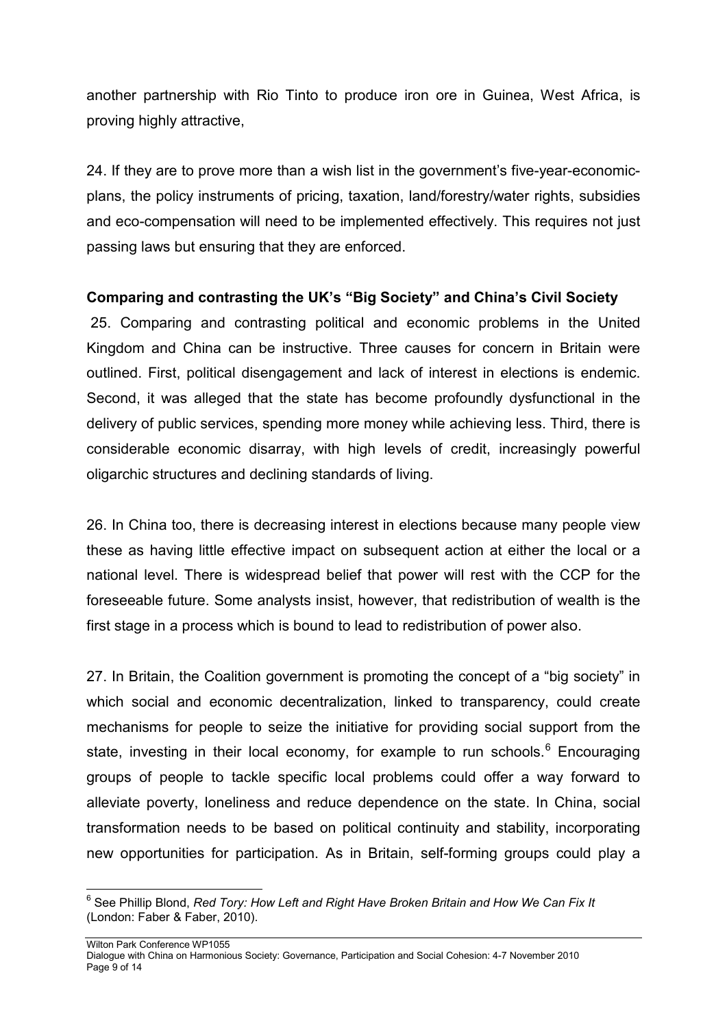another partnership with Rio Tinto to produce iron ore in Guinea, West Africa, is proving highly attractive,

24. If they are to prove more than a wish list in the government's five-year-economicplans, the policy instruments of pricing, taxation, land/forestry/water rights, subsidies and eco-compensation will need to be implemented effectively. This requires not just passing laws but ensuring that they are enforced.

#### **Comparing and contrasting the UK's "Big Society" and China's Civil Society**

25. Comparing and contrasting political and economic problems in the United Kingdom and China can be instructive. Three causes for concern in Britain were outlined. First, political disengagement and lack of interest in elections is endemic. Second, it was alleged that the state has become profoundly dysfunctional in the delivery of public services, spending more money while achieving less. Third, there is considerable economic disarray, with high levels of credit, increasingly powerful oligarchic structures and declining standards of living.

26. In China too, there is decreasing interest in elections because many people view these as having little effective impact on subsequent action at either the local or a national level. There is widespread belief that power will rest with the CCP for the foreseeable future. Some analysts insist, however, that redistribution of wealth is the first stage in a process which is bound to lead to redistribution of power also.

27. In Britain, the Coalition government is promoting the concept of a "big society" in which social and economic decentralization, linked to transparency, could create mechanisms for people to seize the initiative for providing social support from the state, investing in their local economy, for example to run schools.<sup>[6](#page-8-0)</sup> Encouraging groups of people to tackle specific local problems could offer a way forward to alleviate poverty, loneliness and reduce dependence on the state. In China, social transformation needs to be based on political continuity and stability, incorporating new opportunities for participation. As in Britain, self-forming groups could play a

<span id="page-8-0"></span> <sup>6</sup> See Phillip Blond, *Red Tory: How Left and Right Have Broken Britain and How We Can Fix It* (London: Faber & Faber, 2010).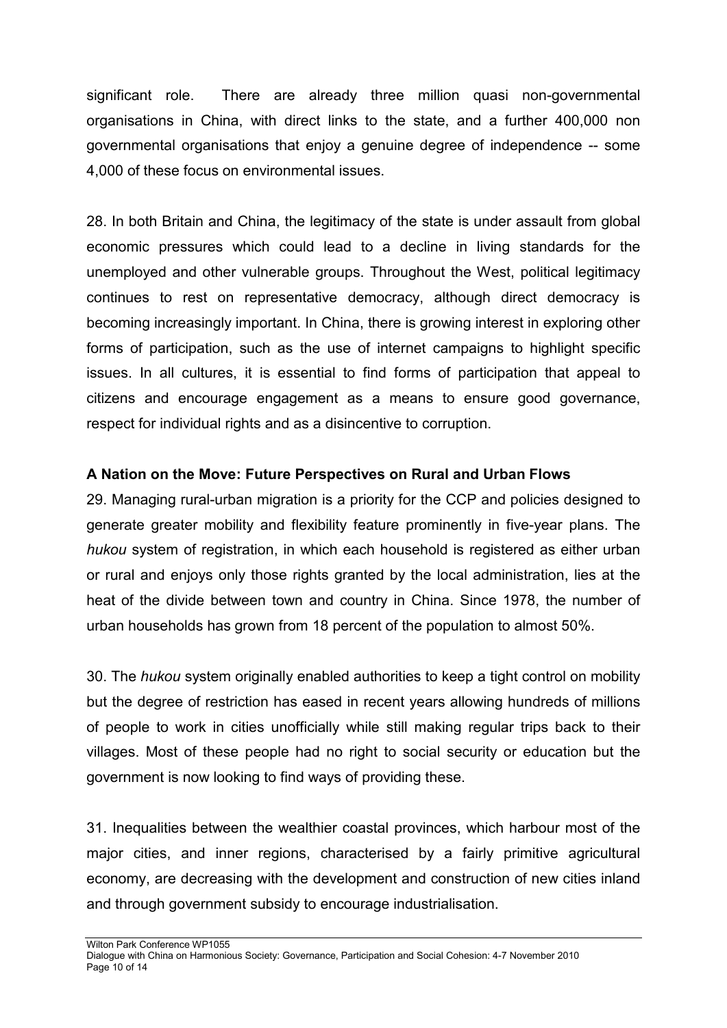significant role. There are already three million quasi non-governmental organisations in China, with direct links to the state, and a further 400,000 non governmental organisations that enjoy a genuine degree of independence -- some 4,000 of these focus on environmental issues.

28. In both Britain and China, the legitimacy of the state is under assault from global economic pressures which could lead to a decline in living standards for the unemployed and other vulnerable groups. Throughout the West, political legitimacy continues to rest on representative democracy, although direct democracy is becoming increasingly important. In China, there is growing interest in exploring other forms of participation, such as the use of internet campaigns to highlight specific issues. In all cultures, it is essential to find forms of participation that appeal to citizens and encourage engagement as a means to ensure good governance, respect for individual rights and as a disincentive to corruption.

# **A Nation on the Move: Future Perspectives on Rural and Urban Flows**

29. Managing rural-urban migration is a priority for the CCP and policies designed to generate greater mobility and flexibility feature prominently in five-year plans. The *hukou* system of registration, in which each household is registered as either urban or rural and enjoys only those rights granted by the local administration, lies at the heat of the divide between town and country in China. Since 1978, the number of urban households has grown from 18 percent of the population to almost 50%.

30. The *hukou* system originally enabled authorities to keep a tight control on mobility but the degree of restriction has eased in recent years allowing hundreds of millions of people to work in cities unofficially while still making regular trips back to their villages. Most of these people had no right to social security or education but the government is now looking to find ways of providing these.

31. Inequalities between the wealthier coastal provinces, which harbour most of the major cities, and inner regions, characterised by a fairly primitive agricultural economy, are decreasing with the development and construction of new cities inland and through government subsidy to encourage industrialisation.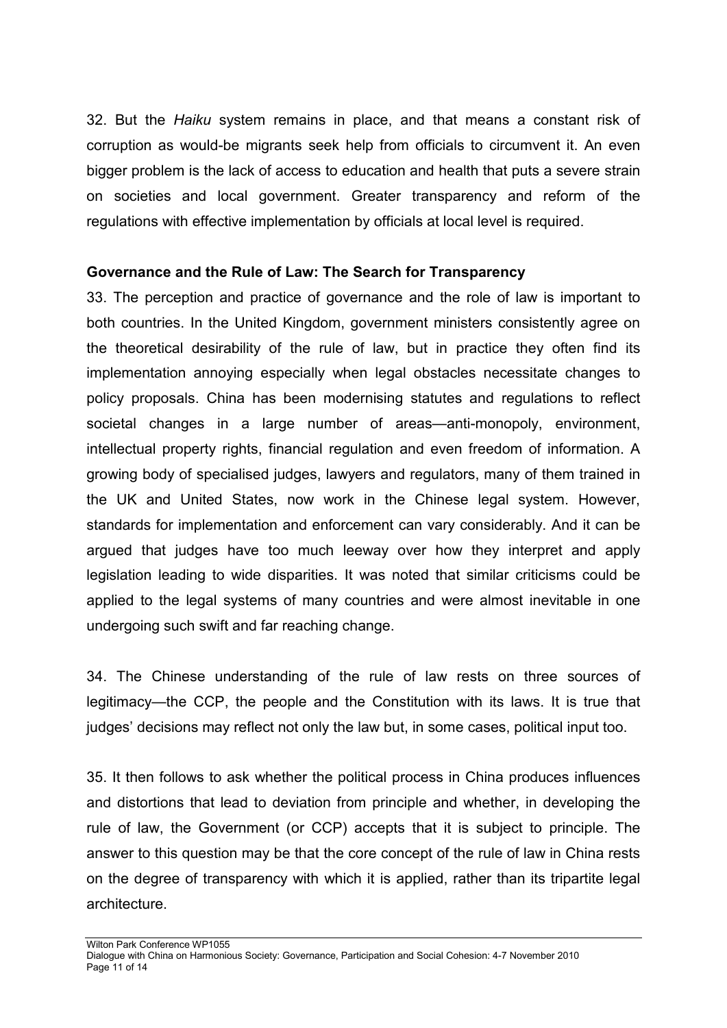32. But the *Haiku* system remains in place, and that means a constant risk of corruption as would-be migrants seek help from officials to circumvent it. An even bigger problem is the lack of access to education and health that puts a severe strain on societies and local government. Greater transparency and reform of the regulations with effective implementation by officials at local level is required.

#### **Governance and the Rule of Law: The Search for Transparency**

33. The perception and practice of governance and the role of law is important to both countries. In the United Kingdom, government ministers consistently agree on the theoretical desirability of the rule of law, but in practice they often find its implementation annoying especially when legal obstacles necessitate changes to policy proposals. China has been modernising statutes and regulations to reflect societal changes in a large number of areas—anti-monopoly, environment, intellectual property rights, financial regulation and even freedom of information. A growing body of specialised judges, lawyers and regulators, many of them trained in the UK and United States, now work in the Chinese legal system. However, standards for implementation and enforcement can vary considerably. And it can be argued that judges have too much leeway over how they interpret and apply legislation leading to wide disparities. It was noted that similar criticisms could be applied to the legal systems of many countries and were almost inevitable in one undergoing such swift and far reaching change.

34. The Chinese understanding of the rule of law rests on three sources of legitimacy—the CCP, the people and the Constitution with its laws. It is true that judges' decisions may reflect not only the law but, in some cases, political input too.

35. It then follows to ask whether the political process in China produces influences and distortions that lead to deviation from principle and whether, in developing the rule of law, the Government (or CCP) accepts that it is subject to principle. The answer to this question may be that the core concept of the rule of law in China rests on the degree of transparency with which it is applied, rather than its tripartite legal architecture.

Dialogue with China on Harmonious Society: Governance, Participation and Social Cohesion: 4-7 November 2010 Page 11 of 14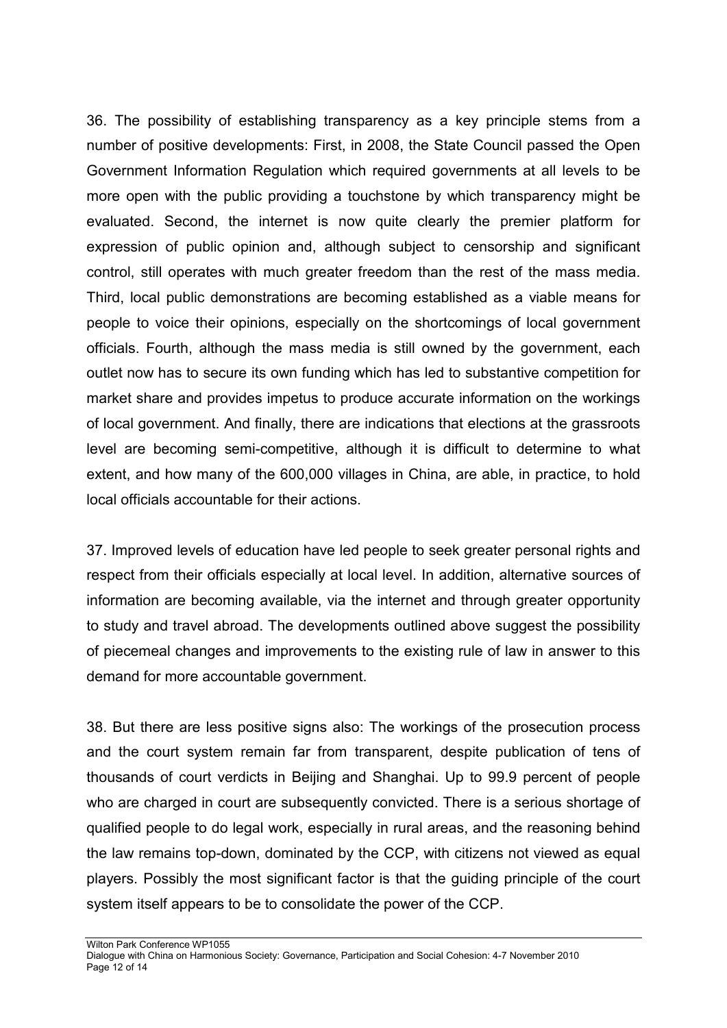36. The possibility of establishing transparency as a key principle stems from a number of positive developments: First, in 2008, the State Council passed the Open Government Information Regulation which required governments at all levels to be more open with the public providing a touchstone by which transparency might be evaluated. Second, the internet is now quite clearly the premier platform for expression of public opinion and, although subject to censorship and significant control, still operates with much greater freedom than the rest of the mass media. Third, local public demonstrations are becoming established as a viable means for people to voice their opinions, especially on the shortcomings of local government officials. Fourth, although the mass media is still owned by the government, each outlet now has to secure its own funding which has led to substantive competition for market share and provides impetus to produce accurate information on the workings of local government. And finally, there are indications that elections at the grassroots level are becoming semi-competitive, although it is difficult to determine to what extent, and how many of the 600,000 villages in China, are able, in practice, to hold local officials accountable for their actions.

37. Improved levels of education have led people to seek greater personal rights and respect from their officials especially at local level. In addition, alternative sources of information are becoming available, via the internet and through greater opportunity to study and travel abroad. The developments outlined above suggest the possibility of piecemeal changes and improvements to the existing rule of law in answer to this demand for more accountable government.

38. But there are less positive signs also: The workings of the prosecution process and the court system remain far from transparent, despite publication of tens of thousands of court verdicts in Beijing and Shanghai. Up to 99.9 percent of people who are charged in court are subsequently convicted. There is a serious shortage of qualified people to do legal work, especially in rural areas, and the reasoning behind the law remains top-down, dominated by the CCP, with citizens not viewed as equal players. Possibly the most significant factor is that the guiding principle of the court system itself appears to be to consolidate the power of the CCP.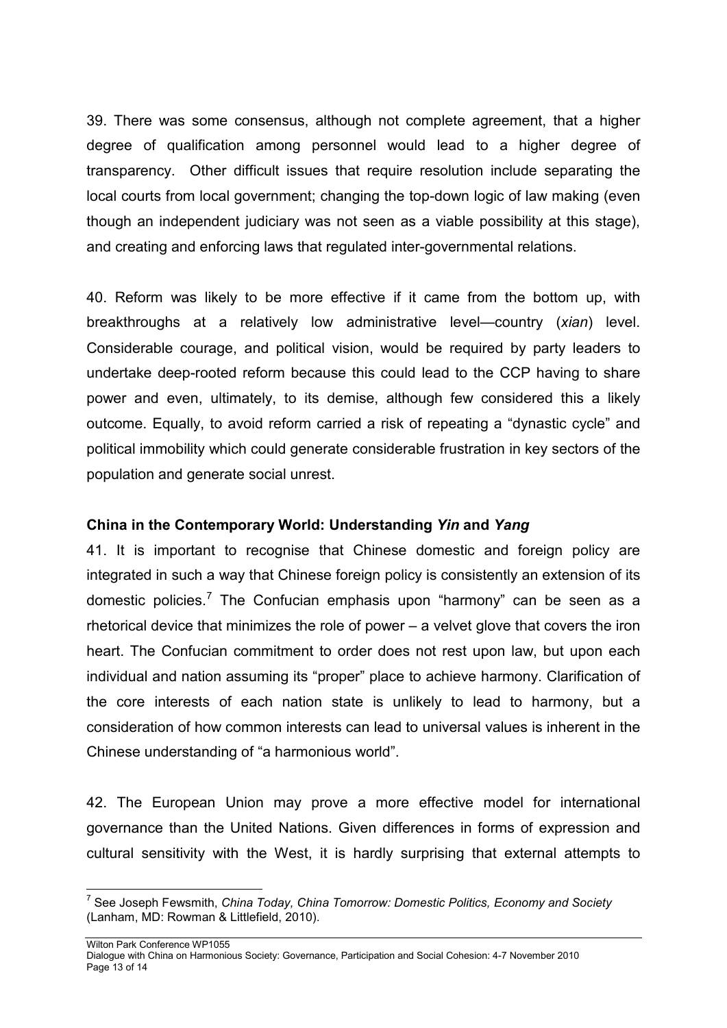39. There was some consensus, although not complete agreement, that a higher degree of qualification among personnel would lead to a higher degree of transparency. Other difficult issues that require resolution include separating the local courts from local government; changing the top-down logic of law making (even though an independent judiciary was not seen as a viable possibility at this stage), and creating and enforcing laws that regulated inter-governmental relations.

40. Reform was likely to be more effective if it came from the bottom up, with breakthroughs at a relatively low administrative level—country (*xian*) level. Considerable courage, and political vision, would be required by party leaders to undertake deep-rooted reform because this could lead to the CCP having to share power and even, ultimately, to its demise, although few considered this a likely outcome. Equally, to avoid reform carried a risk of repeating a "dynastic cycle" and political immobility which could generate considerable frustration in key sectors of the population and generate social unrest.

#### **China in the Contemporary World: Understanding** *Yin* **and** *Yang*

41. It is important to recognise that Chinese domestic and foreign policy are integrated in such a way that Chinese foreign policy is consistently an extension of its domestic policies. $^7$  $^7$  The Confucian emphasis upon "harmony" can be seen as a rhetorical device that minimizes the role of power – a velvet glove that covers the iron heart. The Confucian commitment to order does not rest upon law, but upon each individual and nation assuming its "proper" place to achieve harmony. Clarification of the core interests of each nation state is unlikely to lead to harmony, but a consideration of how common interests can lead to universal values is inherent in the Chinese understanding of "a harmonious world".

42. The European Union may prove a more effective model for international governance than the United Nations. Given differences in forms of expression and cultural sensitivity with the West, it is hardly surprising that external attempts to

<span id="page-12-0"></span> <sup>7</sup> See Joseph Fewsmith, *China Today, China Tomorrow: Domestic Politics, Economy and Society* (Lanham, MD: Rowman & Littlefield, 2010).